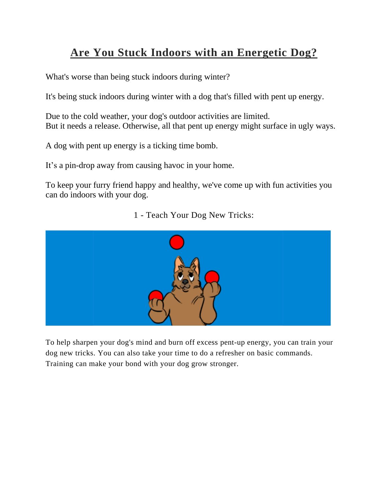## **Are You Stuck Indoors with an Energetic Dog?**

What's worse than being stuck indoors during winter?

It's being stuck indoors during winter with a dog that's filled with pent up energy.

Due to the cold weather, your dog's outdoor activities are limited. But it needs a release. Otherwise, all that pent up energy might surface in ugly ways.

A dog with pent up energy is a ticking time bomb.

It's a pin-drop away from causing havoc in your home.

To keep your furry friend happy and healthy, we've come up with fun activities you can do indoors with your dog.

1 - Teach Your Dog New Tricks:



To help sharpen your dog's mind and burn off excess pent-up energy, you can train your dog new tricks. You can also take your time to do a refresher on basic commands. Training can make your bond with your dog grow stronger.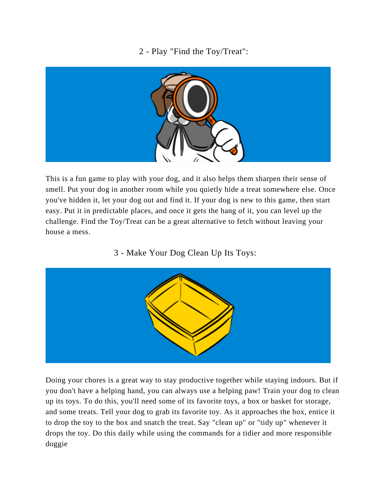## 2 - Play "Find the Toy/Treat":



This is a fun game to play with your dog, and it also helps them sharpen their sense of smell. Put your dog in another room while you quietly hide a treat somewhere else. Once you've hidden it, let your dog out and find it. If your dog is new to this game, then start easy. Put it in predictable places, and once it gets the hang of it, you can level up the challenge. Find the Toy/Treat can be a great alternative to fetch without leaving your house a mess.

## 3 - Make Your Dog Clean Up Its Toys:



Doing your chores is a great way to stay productive together while staying indoors. But if you don't have a helping hand, you can always use a helping paw! Train your dog to clean up its toys. To do this, you'll need some of its favorite toys, a box or basket for storage, and some treats. Tell your dog to grab its favorite toy. As it approaches the box, entice it to drop the toy to the box and snatch the treat. Say "clean up" or "tidy up" whenever it drops the toy. Do this daily while using the commands for a tidier and more responsible doggie